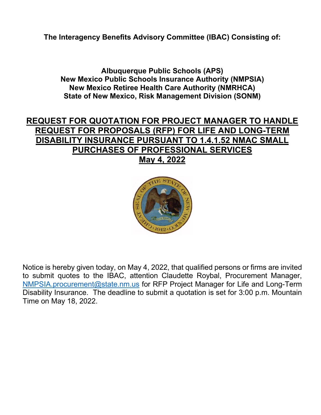**The Interagency Benefits Advisory Committee (IBAC) Consisting of:**

**Albuquerque Public Schools (APS) New Mexico Public Schools Insurance Authority (NMPSIA) New Mexico Retiree Health Care Authority (NMRHCA) State of New Mexico, Risk Management Division (SONM)**

## **REQUEST FOR QUOTATION FOR PROJECT MANAGER TO HANDLE REQUEST FOR PROPOSALS (RFP) FOR LIFE AND LONG-TERM DISABILITY INSURANCE PURSUANT TO 1.4.1.52 NMAC SMALL PURCHASES OF PROFESSIONAL SERVICES May 4, 2022**



Notice is hereby given today, on May 4, 2022, that qualified persons or firms are invited to submit quotes to the IBAC, attention Claudette Roybal, Procurement Manager, [NMPSIA.procurement@state.nm.us](mailto:NMPSIA.procurement@state.nm.us) for RFP Project Manager for Life and Long-Term Disability Insurance. The deadline to submit a quotation is set for 3:00 p.m. Mountain Time on May 18, 2022.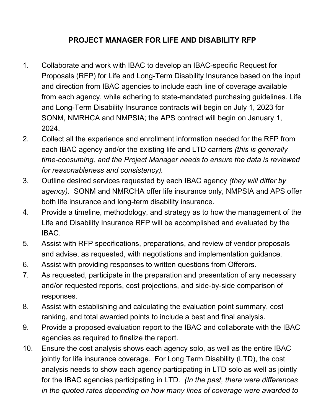## **PROJECT MANAGER FOR LIFE AND DISABILITY RFP**

- 1. Collaborate and work with IBAC to develop an IBAC-specific Request for Proposals (RFP) for Life and Long-Term Disability Insurance based on the input and direction from IBAC agencies to include each line of coverage available from each agency, while adhering to state-mandated purchasing guidelines. Life and Long-Term Disability Insurance contracts will begin on July 1, 2023 for SONM, NMRHCA and NMPSIA; the APS contract will begin on January 1, 2024.
- 2. Collect all the experience and enrollment information needed for the RFP from each IBAC agency and/or the existing life and LTD carriers *(this is generally time-consuming, and the Project Manager needs to ensure the data is reviewed for reasonableness and consistency).*
- 3. Outline desired services requested by each IBAC agency *(they will differ by agency)*. SONM and NMRCHA offer life insurance only, NMPSIA and APS offer both life insurance and long-term disability insurance.
- 4. Provide a timeline, methodology, and strategy as to how the management of the Life and Disability Insurance RFP will be accomplished and evaluated by the IBAC.
- 5. Assist with RFP specifications, preparations, and review of vendor proposals and advise, as requested, with negotiations and implementation guidance.
- 6. Assist with providing responses to written questions from Offerors.
- 7. As requested, participate in the preparation and presentation of any necessary and/or requested reports, cost projections, and side-by-side comparison of responses.
- 8. Assist with establishing and calculating the evaluation point summary, cost ranking, and total awarded points to include a best and final analysis.
- 9. Provide a proposed evaluation report to the IBAC and collaborate with the IBAC agencies as required to finalize the report.
- 10. Ensure the cost analysis shows each agency solo, as well as the entire IBAC jointly for life insurance coverage. For Long Term Disability (LTD), the cost analysis needs to show each agency participating in LTD solo as well as jointly for the IBAC agencies participating in LTD. *(In the past, there were differences in the quoted rates depending on how many lines of coverage were awarded to*